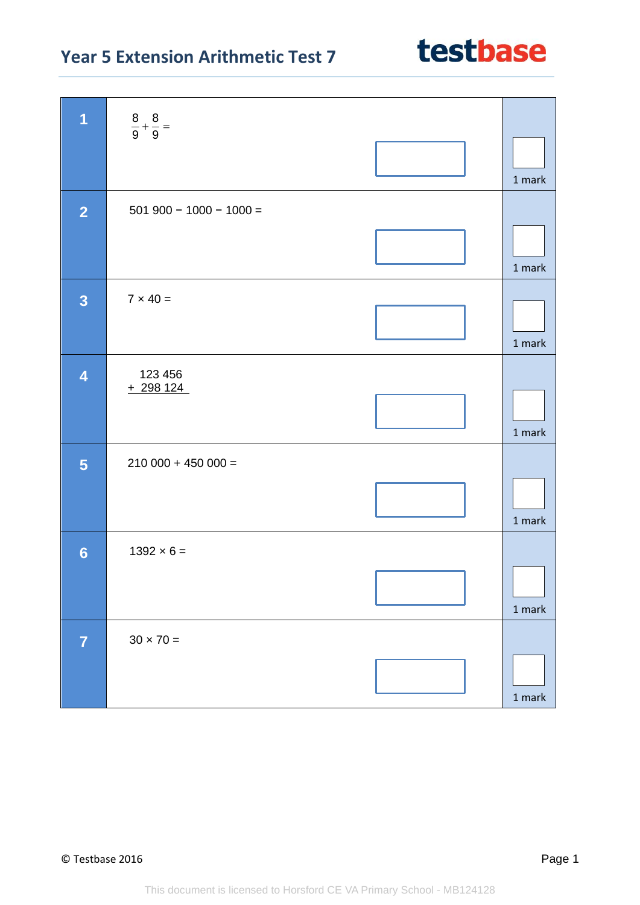## **Year 5 Extension Arithmetic Test 7**

| $\overline{1}$          | $\frac{8}{9} + \frac{8}{9} =$ | 1 mark   |
|-------------------------|-------------------------------|----------|
| $\overline{2}$          | $501900 - 1000 - 1000 =$      |          |
|                         | $7 \times 40 =$               | 1 mark   |
| $\overline{\mathbf{3}}$ |                               | 1 mark   |
| $\overline{\mathbf{4}}$ | 123 456<br>$+298124$          | 1 mark   |
| $5\phantom{1}$          | $210000 + 45000 =$            | 1 mark   |
| $6\phantom{1}$          | $1392 \times 6 =$             | $1$ mark |
| $\overline{7}$          | $30 \times 70 =$              | $1$ mark |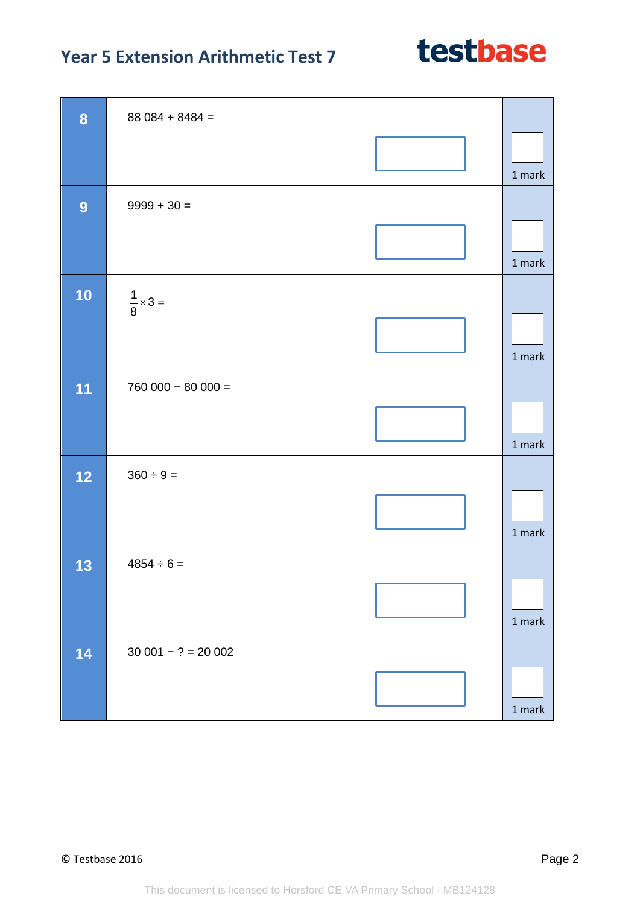## **Year 5 Extension Arithmetic Test 7**

| 8  | $88084 + 8484 =$         |               |
|----|--------------------------|---------------|
|    |                          | 1 mark        |
| 9  | $9999 + 30 =$            |               |
|    |                          | 1 mark        |
| 10 | $\frac{1}{8} \times 3 =$ |               |
|    |                          | 1 mark        |
| 11 | $760000 - 80000 =$       |               |
|    |                          | 1 mark        |
| 12 | $360 \div 9 =$           |               |
|    |                          | 1 mark        |
| 13 | $4854 \div 6 =$          |               |
|    |                          |               |
|    |                          | 1 mark        |
| 14 | $30001 - ? = 20002$      |               |
|    |                          | $1$ mark $\,$ |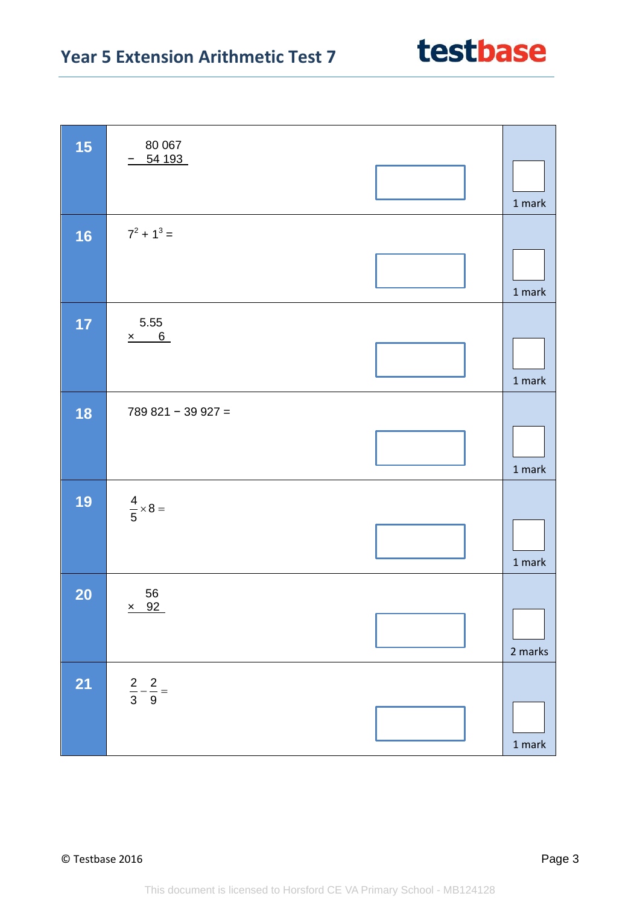## **Year 5 Extension Arithmetic Test 7**

| 15<br>80 067<br>54 193                   | 1 mark   |
|------------------------------------------|----------|
| $7^2 + 1^3 =$<br>16                      |          |
|                                          | $1$ mark |
| 5.55<br>17<br>$x$ 6                      |          |
|                                          | $1$ mark |
| 18<br>$789821 - 39927 =$                 |          |
|                                          | $1$ mark |
| 19<br>$\frac{4}{5} \times 8 =$           |          |
|                                          | $1$ mark |
| 56<br><b>20</b><br>$\times$ 92           |          |
|                                          | 2 marks  |
| <b>21</b><br>$rac{2}{3} - \frac{2}{9} =$ |          |
|                                          | $1$ mark |

testbase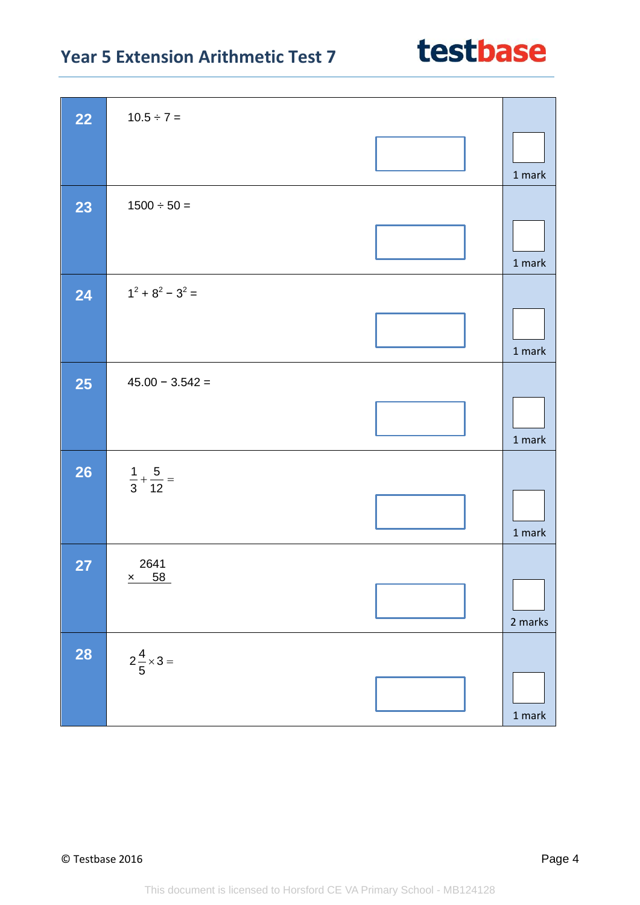| 22        | $10.5 \div 7 =$                |          |
|-----------|--------------------------------|----------|
|           |                                | 1 mark   |
| 23        | $1500 \div 50 =$               |          |
|           |                                | 1 mark   |
| 24        | $1^2 + 8^2 - 3^2 =$            |          |
|           |                                | 1 mark   |
| <b>25</b> | $45.00 - 3.542 =$              |          |
|           |                                | 1 mark   |
| 26        | $\frac{1}{3} + \frac{5}{12} =$ |          |
|           |                                | 1 mark   |
| <b>27</b> | 2641                           |          |
|           | $\times$ 58                    | 2 marks  |
|           |                                |          |
| <b>28</b> | $2\frac{4}{5} \times 3 =$      |          |
|           |                                |          |
|           |                                | $1$ mark |